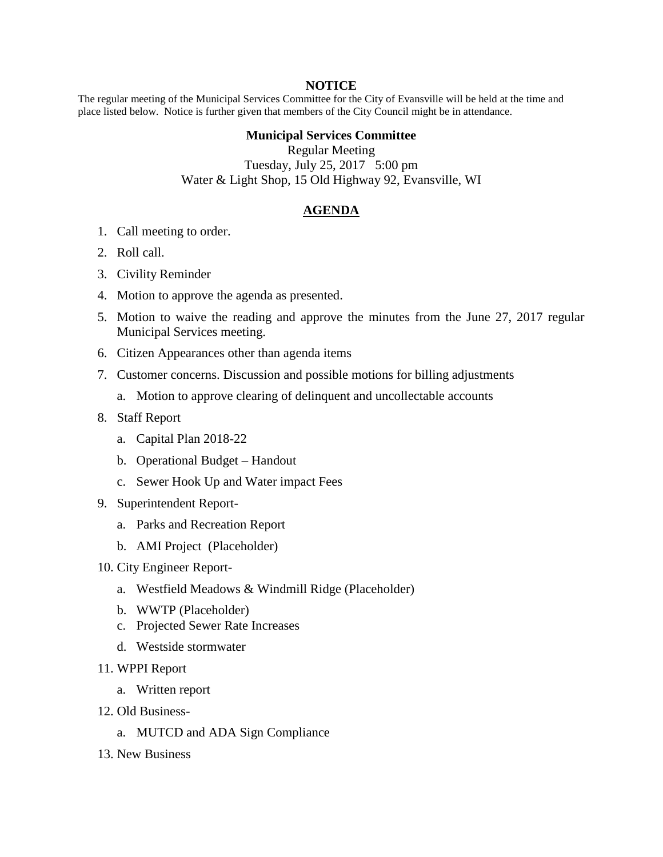## **NOTICE**

The regular meeting of the Municipal Services Committee for the City of Evansville will be held at the time and place listed below. Notice is further given that members of the City Council might be in attendance.

## **Municipal Services Committee**

Regular Meeting Tuesday, July 25, 2017 5:00 pm Water & Light Shop, 15 Old Highway 92, Evansville, WI

## **AGENDA**

- 1. Call meeting to order.
- 2. Roll call.
- 3. Civility Reminder
- 4. Motion to approve the agenda as presented.
- 5. Motion to waive the reading and approve the minutes from the June 27, 2017 regular Municipal Services meeting.
- 6. Citizen Appearances other than agenda items
- 7. Customer concerns. Discussion and possible motions for billing adjustments
	- a. Motion to approve clearing of delinquent and uncollectable accounts
- 8. Staff Report
	- a. Capital Plan 2018-22
	- b. Operational Budget Handout
	- c. Sewer Hook Up and Water impact Fees
- 9. Superintendent Report
	- a. Parks and Recreation Report
	- b. AMI Project (Placeholder)
- 10. City Engineer Report
	- a. Westfield Meadows & Windmill Ridge (Placeholder)
	- b. WWTP (Placeholder)
	- c. Projected Sewer Rate Increases
	- d. Westside stormwater
- 11. WPPI Report
	- a. Written report
- 12. Old Business
	- a. MUTCD and ADA Sign Compliance
- 13. New Business